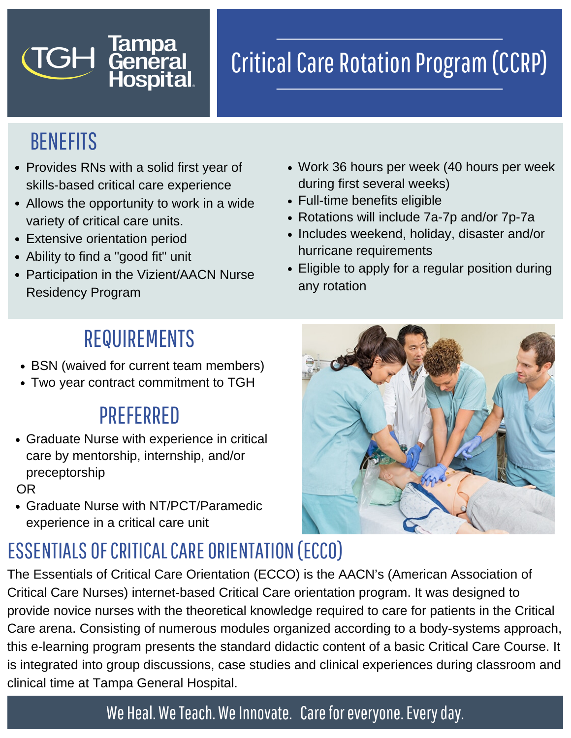# **Critical Care Rotation Program (CCRP)**

## BENEFITS

TGH

• Provides RNs with a solid first year of skills-based critical care experience

**Tampa<br>General<br>Hospital** 

- Allows the opportunity to work in a wide variety of critical care units.
- Extensive orientation period
- Ability to find a "good fit" unit
- Participation in the Vizient/AACN Nurse Residency Program
- Work 36 hours per week (40 hours per week during first several weeks)
- Full-time benefits eligible
- Rotations will include 7a-7p and/or 7p-7a
- Includes weekend, holiday, disaster and/or hurricane requirements
- Eligible to apply for a regular position during any rotation

## REQUIREMENTS

- BSN (waived for current team members)
- Two year contract commitment to TGH

## PREFERRED

Graduate Nurse with experience in critical care by mentorship, internship, and/or preceptorship

OR

Graduate Nurse with NT/PCT/Paramedic experience in a critical care unit

## ESSENTIALS OF CRITICAL CARE ORIENTATION (ECCO)

The Essentials of Critical Care Orientation (ECCO) is the AACN's (American Association of Critical Care Nurses) internet-based Critical Care orientation program. It was designed to provide novice nurses with the theoretical knowledge required to care for patients in the Critical Care arena. Consisting of numerous modules organized according to a body-systems approach, this e-learning program presents the standard didactic content of a basic Critical Care Course. It is integrated into group discussions, case studies and clinical experiences during classroom and clinical time at Tampa General Hospital.

### We Heal. We Teach. We Innovate. Care for everyone. Every day.